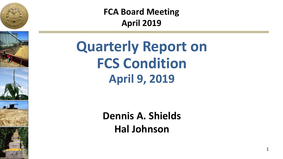







**FCA Board Meeting April 2019**

**Quarterly Report on FCS Condition April 9, 2019**

> **Dennis A. Shields Hal Johnson**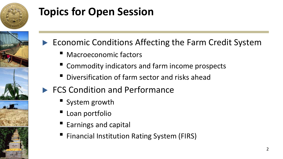

## **Topics for Open Session**



- ▶ Economic Conditions Affecting the Farm Credit System
	- Macroeconomic factors
	- Commodity indicators and farm income prospects
	- Diversification of farm sector and risks ahead
- ▶ FCS Condition and Performance
	- System growth
	- Loan portfolio
	- Earnings and capital
	- Financial Institution Rating System (FIRS)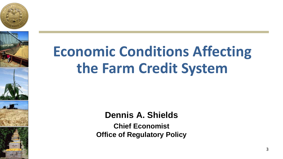





# **Economic Conditions Affecting the Farm Credit System**

**Dennis A. Shields**

**Chief Economist Office of Regulatory Policy**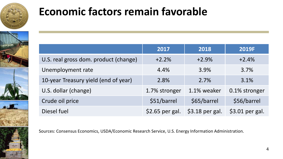

## **Economic factors remain favorable**

|                                       | 2017            | 2018            | 2019F           |
|---------------------------------------|-----------------|-----------------|-----------------|
| U.S. real gross dom. product (change) | $+2.2%$         | $+2.9%$         | $+2.4%$         |
| Unemployment rate                     | 4.4%            | 3.9%            | 3.7%            |
| 10-year Treasury yield (end of year)  | 2.8%            | 2.7%            | 3.1%            |
| U.S. dollar (change)                  | 1.7% stronger   | 1.1% weaker     | 0.1% stronger   |
| Crude oil price                       | \$51/barrel     | \$65/barrel     | \$56/barrel     |
| Diesel fuel                           | \$2.65 per gal. | \$3.18 per gal. | \$3.01 per gal. |

Sources: Consensus Economics, USDA/Economic Research Service, U.S. Energy Information Administration.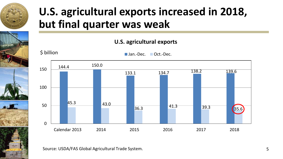

## **U.S. agricultural exports increased in 2018, but final quarter was weak**

### **U.S. agricultural exports**







Source: USDA/FAS Global Agricultural Trade System.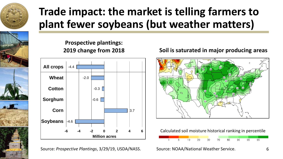

## **Trade impact: the market is telling farmers to plant fewer soybeans (but weather matters)**





Source: *Prospective Plantings*, 3/29/19, USDA/NASS.

### **Soil is saturated in major producing areas**

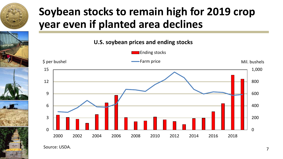

## **Soybean stocks to remain high for 2019 crop year even if planted area declines**



Source: USDA. 2008. 2009. 2009. 2009. 2009. 2009. 2009. 2009. 2009. 2009. 2009. 2009. 2009. 2009. 2009. 2009. 2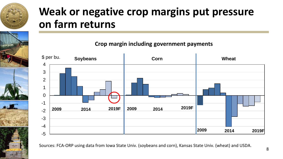

## **Weak or negative crop margins put pressure on farm returns**

**Crop margin including government payments**



Sources: FCA-ORP using data from Iowa State Univ. (soybeans and corn), Kansas State Univ. (wheat) and USDA. <sup>8</sup>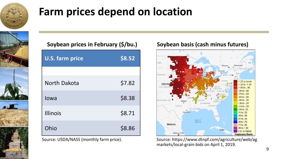

## **Farm prices depend on location**



|  |  | Soybean prices in February (\$/bu.) |  |
|--|--|-------------------------------------|--|
|--|--|-------------------------------------|--|

| <b>U.S. farm price</b> | \$8.52 |
|------------------------|--------|
|                        |        |
| North Dakota           | \$7.82 |
| lowa                   | \$8.38 |
| <b>Illinois</b>        | \$8.71 |
| Ohio                   | \$8.86 |

Source: USDA/NASS (monthly farm price).

### **Soybean basis (cash minus futures)**



Source: https://www.dtnpf.com/agriculture/web/ag markets/local-grain-bids on April 1, 2019.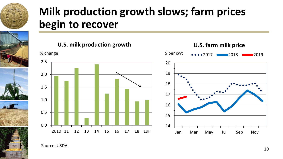

## **Milk production growth slows; farm prices begin to recover**





**U.S. farm milk price**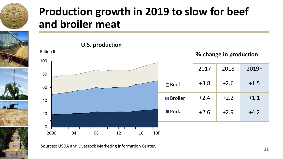

## **Production growth in 2019 to slow for beef and broiler meat**

**U.S. production**



Sources: USDA and Livestock Marketing Information Center.<br>11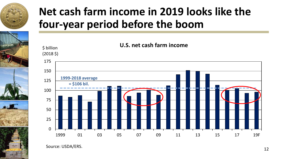

## **Net cash farm income in 2019 looks like the four-year period before the boom**



Source: USDA/ERS. 12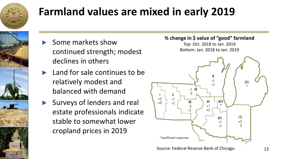

## **Farmland values are mixed in early 2019**

- ▶ Some markets show continued strength; modest declines in others
- $\blacktriangleright$  Land for sale continues to be relatively modest and balanced with demand
- ▶ Surveys of lenders and real estate professionals indicate stable to somewhat lower cropland prices in 2019

### **% change in \$ value of "good" farmland**

Top: Oct. 2018 to Jan. 2019 Bottom: Jan. 2018 to Jan. 2019

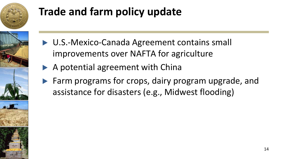

## **Trade and farm policy update**

- 
- ▶ U.S.-Mexico-Canada Agreement contains small improvements over NAFTA for agriculture
- ▶ A potential agreement with China
- ▶ Farm programs for crops, dairy program upgrade, and assistance for disasters (e.g., Midwest flooding)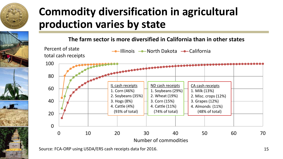

## **Commodity diversification in agricultural production varies by state**

**The farm sector is more diversified in California than in other states**



Source: FCA-ORP using USDA/ERS cash receipts data for 2016. 15 and 15 and 15 and 15 and 15 and 15 and 15 and 15 and 15 and 15 and 15 and 15 and 15 and 15 and 15 and 15 and 15 and 16 and 16 and 16 and 16 and 16 and 16 and 1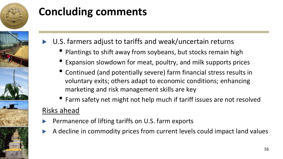

## **Concluding comments**

- ▶ U.S. farmers adjust to tariffs and weak/uncertain returns
	- Plantings to shift away from soybeans, but stocks remain high
	- Expansion slowdown for meat, poultry, and milk supports prices
	- Continued (and potentially severe) farm financial stress results in voluntary exits; others adapt to economic conditions; enhancing marketing and risk management skills are key
- Farm safety net might not help much if tariff issues are not resolved Risks ahead
- ▶ Permanence of lifting tariffs on U.S. farm exports
- ▶ A decline in commodity prices from current levels could impact land values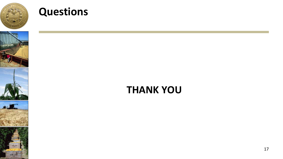

## **Questions**









## **THANK YOU**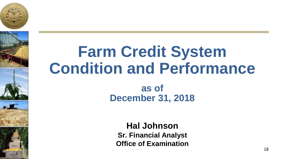





# **Farm Credit System Condition and Performance**

**as of December 31, 2018**

**Hal Johnson Sr. Financial Analyst Office of Examination**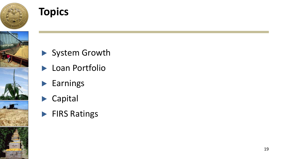

## **Topics**



- ▶ System Growth
- ▶ Loan Portfolio
- ▶ Earnings
- ▶ Capital
- ▶ FIRS Ratings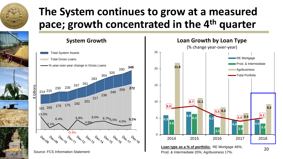

## **The System continues to grow at a measured pace; growth concentrated in the 4th quarter**

 $\Omega$ 

5

10

15

20

25



283

217

4.8%

304

320

236 249 259 **272**

8.0% 8.7%5.5% 4.0% **5.1%**

<sup>330</sup> **<sup>349</sup>**



Prod. & Intermediate 20%; Agribusiness 17%.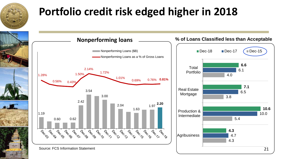

## **Portfolio credit risk edged higher in 2018**

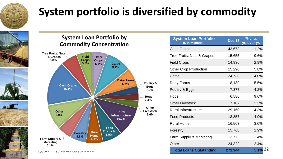

## **System portfolio is diversified by commodity**

### **System Loan Portfolio by Commodity Concentration**



| <b>System Loan Portfolio</b><br>(\$ in millions) | <b>Dec-18</b> | % chg.<br>yr. over yr. |
|--------------------------------------------------|---------------|------------------------|
| Cash Grains                                      | 43,673        | 1.2%                   |
| Tree Fruits, Nuts & Grapes                       | 15,655        | 9.6%                   |
| <b>Field Crops</b>                               | 14,936        | 2.9%                   |
| <b>Other Crop Production</b>                     | 15,290        | 5.8%                   |
| Cattle                                           | 24,738        | 4.0%                   |
| Dairy Farms                                      | 18,139        | 5.5%                   |
| Poultry & Eggs                                   | 7,377         | 4.2%                   |
| Hogs                                             | 6,586         | 9.6%                   |
| <b>Other Livestock</b>                           | 7,107         | 2.3%                   |
| Rural Infrastructure                             | 29,160        | 4.3%                   |
| <b>Food Products</b>                             | 18,857        | 4.9%                   |
| Rural Home                                       | 16,563        | 3.0%                   |
| Forestry                                         | 15,768        | 1.9%                   |
| Farm Supply & Marketing                          | 13,773        | 12.4%                  |
| Other                                            | 24,322        | 12.4%                  |
| <b>Total Loans Outstanding</b>                   | 271,944       | 5.1%                   |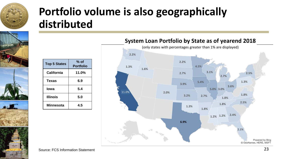

## **Portfolio volume is also geographically distributed**





| <b>Top 5 States</b> | % of<br><b>Portfolio</b> |
|---------------------|--------------------------|
| California          | 11.0%                    |
| <b>Texas</b>        | 6.9                      |
| lowa                | 5.4                      |
| <b>Illinois</b>     | 5.0                      |
| <b>Minnesota</b>    | 4.5                      |



### Source: FCS Information Statement 23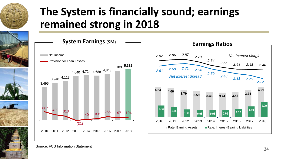

## **The System is financially sound; earnings remained strong in 2018**





Source: FCS Information Statement 24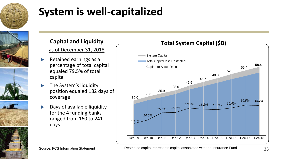

## **System is well-capitalized**



## **Capital and Liquidity**

### as of December 31, 2018

- Retained earnings as a percentage of total capital equaled 79.5% of total capital
- The System's liquidity position equaled 182 days of coverage
- Days of available liquidity for the 4 funding banks ranged from 160 to 241 days



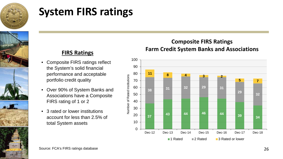

## **System FIRS ratings**



### **FIRS Ratings**

- Composite FIRS ratings reflect the System's solid financial performance and acceptable portfolio credit quality
- Over 90% of System Banks and Associations have a Composite FIRS rating of 1 or 2
- 3 rated or lower institutions account for less than 2.5% of total System assets

### **Composite FIRS Ratings Farm Credit System Banks and Associations**

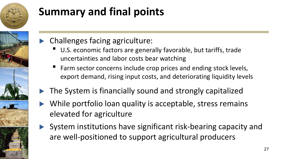

# **Summary and final points**

- 
- Challenges facing agriculture:
	- U.S. economic factors are generally favorable, but tariffs, trade uncertainties and labor costs bear watching
	- Farm sector concerns include crop prices and ending stock levels, export demand, rising input costs, and deteriorating liquidity levels
- The System is financially sound and strongly capitalized
- While portfolio loan quality is acceptable, stress remains elevated for agriculture
- System institutions have significant risk-bearing capacity and are well-positioned to support agricultural producers